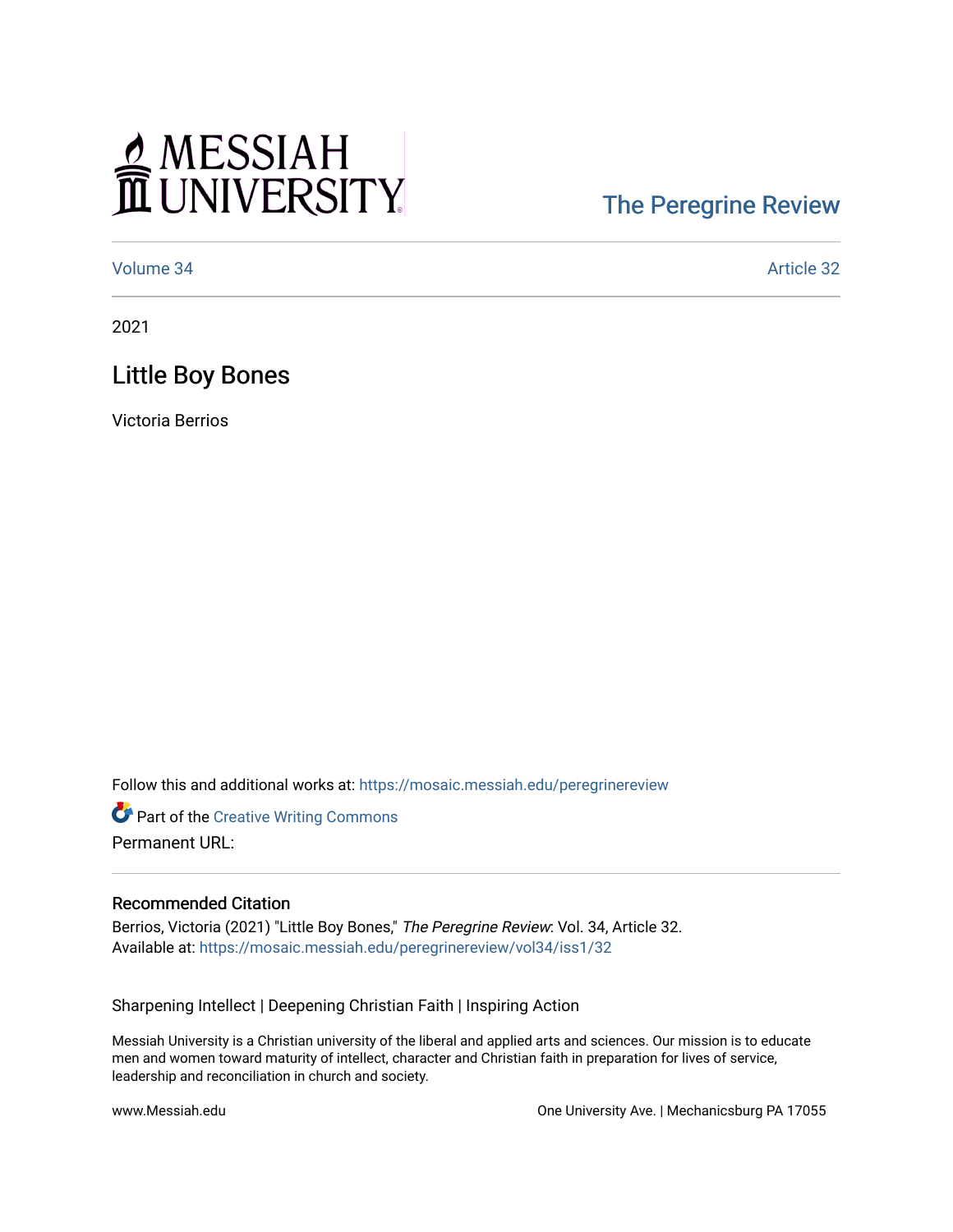# MESSIAH

## [The Peregrine Review](https://mosaic.messiah.edu/peregrinereview)

[Volume 34](https://mosaic.messiah.edu/peregrinereview/vol34) Article 32

2021

### Little Boy Bones

Victoria Berrios

Follow this and additional works at: [https://mosaic.messiah.edu/peregrinereview](https://mosaic.messiah.edu/peregrinereview?utm_source=mosaic.messiah.edu%2Fperegrinereview%2Fvol34%2Fiss1%2F32&utm_medium=PDF&utm_campaign=PDFCoverPages) 

**Part of the Creative Writing Commons** Permanent URL:

#### Recommended Citation

Berrios, Victoria (2021) "Little Boy Bones," The Peregrine Review: Vol. 34, Article 32. Available at: [https://mosaic.messiah.edu/peregrinereview/vol34/iss1/32](https://mosaic.messiah.edu/peregrinereview/vol34/iss1/32?utm_source=mosaic.messiah.edu%2Fperegrinereview%2Fvol34%2Fiss1%2F32&utm_medium=PDF&utm_campaign=PDFCoverPages)

Sharpening Intellect | Deepening Christian Faith | Inspiring Action

Messiah University is a Christian university of the liberal and applied arts and sciences. Our mission is to educate men and women toward maturity of intellect, character and Christian faith in preparation for lives of service, leadership and reconciliation in church and society.

www.Messiah.edu One University Ave. | Mechanicsburg PA 17055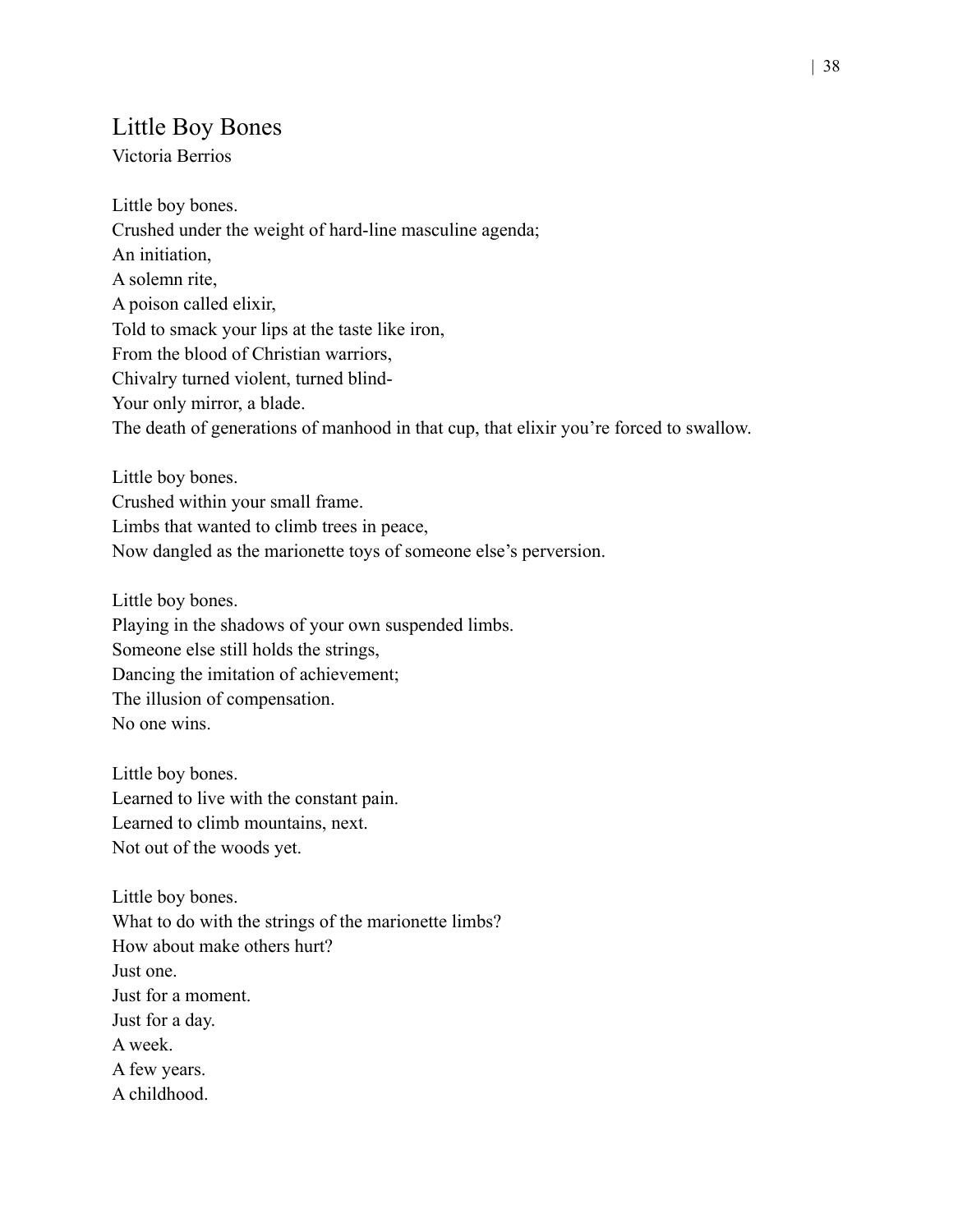#### Little Boy Bones

Victoria Berrios

Little boy bones. Crushed under the weight of hard-line masculine agenda; An initiation, A solemn rite, A poison called elixir, Told to smack your lips at the taste like iron, From the blood of Christian warriors, Chivalry turned violent, turned blind-Your only mirror, a blade. The death of generations of manhood in that cup, that elixir you're forced to swallow.

Little boy bones. Crushed within your small frame. Limbs that wanted to climb trees in peace, Now dangled as the marionette toys of someone else's perversion.

Little boy bones. Playing in the shadows of your own suspended limbs. Someone else still holds the strings, Dancing the imitation of achievement; The illusion of compensation. No one wins.

Little boy bones. Learned to live with the constant pain. Learned to climb mountains, next. Not out of the woods yet.

Little boy bones. What to do with the strings of the marionette limbs? How about make others hurt? Just one. Just for a moment. Just for a day. A week. A few years. A childhood.